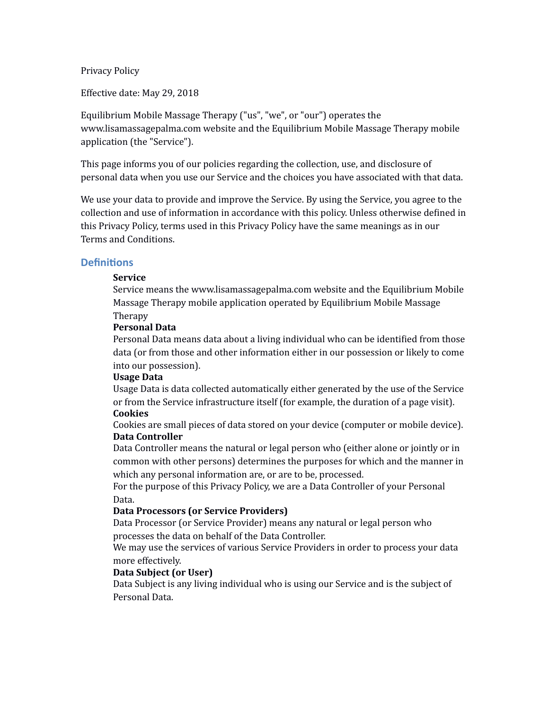Privacy Policy

Effective date: May 29, 2018

Equilibrium Mobile Massage Therapy ("us", "we", or "our") operates the www.lisamassagepalma.com website and the Equilibrium Mobile Massage Therapy mobile application (the "Service").

This page informs you of our policies regarding the collection, use, and disclosure of personal data when you use our Service and the choices you have associated with that data.

We use your data to provide and improve the Service. By using the Service, you agree to the collection and use of information in accordance with this policy. Unless otherwise defined in this Privacy Policy, terms used in this Privacy Policy have the same meanings as in our Terms and Conditions.

### **Definitions**

#### **Service**

Service means the www.lisamassagepalma.com website and the Equilibrium Mobile Massage Therapy mobile application operated by Equilibrium Mobile Massage Therapy

#### **Personal Data**

Personal Data means data about a living individual who can be identified from those data (or from those and other information either in our possession or likely to come into our possession).

#### **Usage Data**

Usage Data is data collected automatically either generated by the use of the Service or from the Service infrastructure itself (for example, the duration of a page visit). **Cookies**

Cookies are small pieces of data stored on your device (computer or mobile device). **Data Controller**

Data Controller means the natural or legal person who (either alone or jointly or in common with other persons) determines the purposes for which and the manner in which any personal information are, or are to be, processed.

For the purpose of this Privacy Policy, we are a Data Controller of your Personal Data.

#### **Data Processors (or Service Providers)**

Data Processor (or Service Provider) means any natural or legal person who processes the data on behalf of the Data Controller.

We may use the services of various Service Providers in order to process your data more effectively.

#### **Data Subject (or User)**

Data Subject is any living individual who is using our Service and is the subject of Personal Data.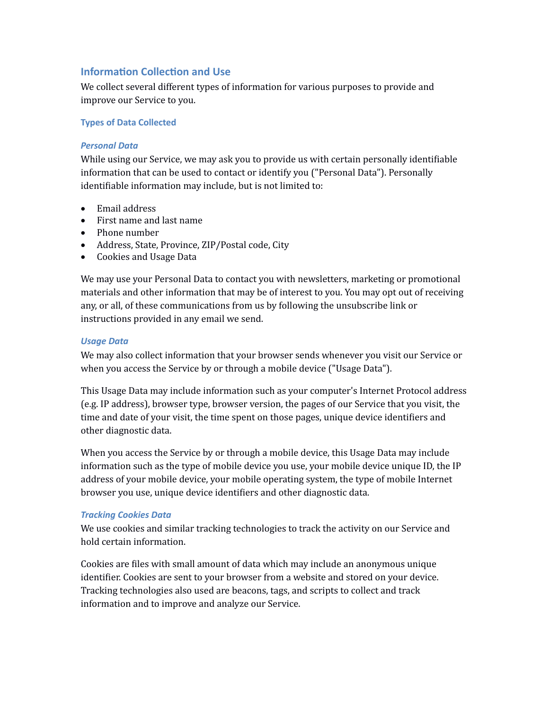## **Information Collection and Use**

We collect several different types of information for various purposes to provide and improve our Service to you.

#### **Types of Data Collected**

#### *Personal Data*

While using our Service, we may ask you to provide us with certain personally identifiable information that can be used to contact or identify you ("Personal Data"). Personally identifiable information may include, but is not limited to:

- Email address
- First name and last name
- Phone number
- Address, State, Province, ZIP/Postal code, City
- Cookies and Usage Data

We may use your Personal Data to contact you with newsletters, marketing or promotional materials and other information that may be of interest to you. You may opt out of receiving any, or all, of these communications from us by following the unsubscribe link or instructions provided in any email we send.

#### *Usage Data*

We may also collect information that your browser sends whenever you visit our Service or when you access the Service by or through a mobile device ("Usage Data").

This Usage Data may include information such as your computer's Internet Protocol address (e.g. IP address), browser type, browser version, the pages of our Service that you visit, the time and date of your visit, the time spent on those pages, unique device identifiers and other diagnostic data.

When you access the Service by or through a mobile device, this Usage Data may include information such as the type of mobile device you use, your mobile device unique ID, the IP address of your mobile device, your mobile operating system, the type of mobile Internet browser you use, unique device identifiers and other diagnostic data.

#### *Tracking Cookies Data*

We use cookies and similar tracking technologies to track the activity on our Service and hold certain information.

Cookies are files with small amount of data which may include an anonymous unique identifier. Cookies are sent to your browser from a website and stored on your device. Tracking technologies also used are beacons, tags, and scripts to collect and track information and to improve and analyze our Service.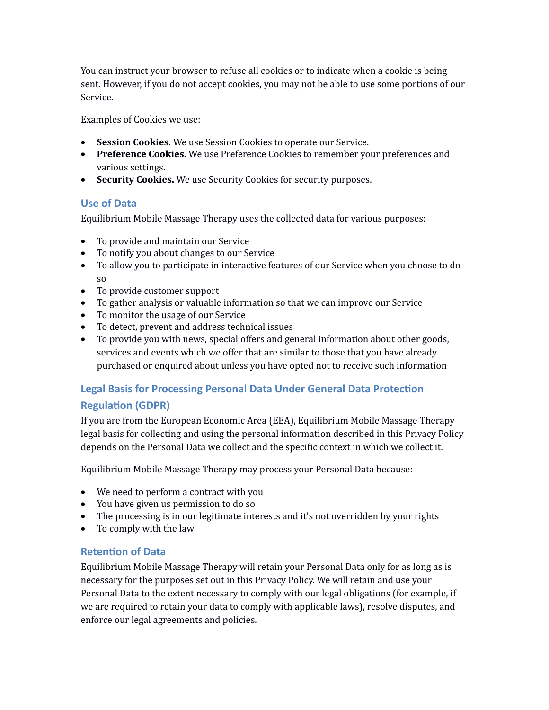You can instruct your browser to refuse all cookies or to indicate when a cookie is being sent. However, if you do not accept cookies, you may not be able to use some portions of our Service.

Examples of Cookies we use:

- **Session Cookies.** We use Session Cookies to operate our Service.
- **Preference Cookies.** We use Preference Cookies to remember your preferences and various settings.
- **Security Cookies.** We use Security Cookies for security purposes.

# **Use of Data**

Equilibrium Mobile Massage Therapy uses the collected data for various purposes:

- To provide and maintain our Service
- To notify you about changes to our Service
- To allow you to participate in interactive features of our Service when you choose to do so
- To provide customer support
- To gather analysis or valuable information so that we can improve our Service
- To monitor the usage of our Service
- To detect, prevent and address technical issues
- To provide you with news, special offers and general information about other goods, services and events which we offer that are similar to those that you have already purchased or enquired about unless you have opted not to receive such information

# **Legal Basis for Processing Personal Data Under General Data Protection**

## **Regulation (GDPR)**

If you are from the European Economic Area (EEA), Equilibrium Mobile Massage Therapy legal basis for collecting and using the personal information described in this Privacy Policy depends on the Personal Data we collect and the specific context in which we collect it.

Equilibrium Mobile Massage Therapy may process your Personal Data because:

- We need to perform a contract with you
- You have given us permission to do so
- The processing is in our legitimate interests and it's not overridden by your rights
- To comply with the law

## **Retention of Data**

Equilibrium Mobile Massage Therapy will retain your Personal Data only for as long as is necessary for the purposes set out in this Privacy Policy. We will retain and use your Personal Data to the extent necessary to comply with our legal obligations (for example, if we are required to retain your data to comply with applicable laws), resolve disputes, and enforce our legal agreements and policies.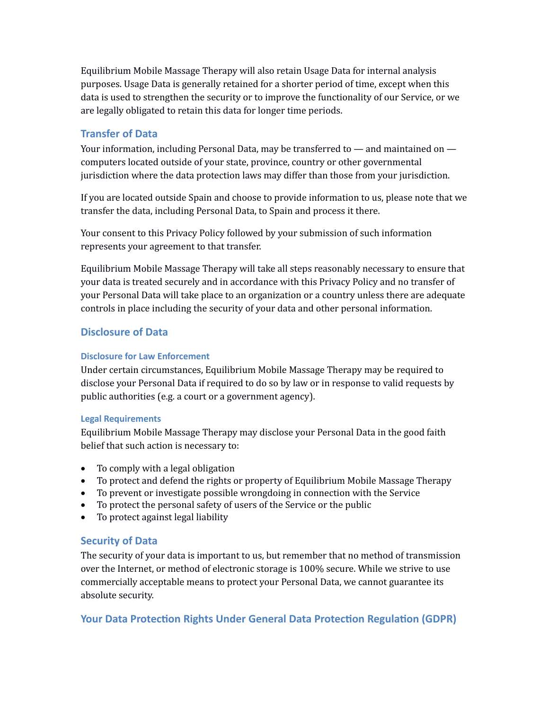Equilibrium Mobile Massage Therapy will also retain Usage Data for internal analysis purposes. Usage Data is generally retained for a shorter period of time, except when this data is used to strengthen the security or to improve the functionality of our Service, or we are legally obligated to retain this data for longer time periods.

## **Transfer of Data**

Your information, including Personal Data, may be transferred to — and maintained on computers located outside of your state, province, country or other governmental jurisdiction where the data protection laws may differ than those from your jurisdiction.

If you are located outside Spain and choose to provide information to us, please note that we transfer the data, including Personal Data, to Spain and process it there.

Your consent to this Privacy Policy followed by your submission of such information represents your agreement to that transfer.

Equilibrium Mobile Massage Therapy will take all steps reasonably necessary to ensure that your data is treated securely and in accordance with this Privacy Policy and no transfer of your Personal Data will take place to an organization or a country unless there are adequate controls in place including the security of your data and other personal information.

## **Disclosure of Data**

#### **Disclosure for Law Enforcement**

Under certain circumstances, Equilibrium Mobile Massage Therapy may be required to disclose your Personal Data if required to do so by law or in response to valid requests by public authorities (e.g. a court or a government agency).

#### **Legal Requirements**

Equilibrium Mobile Massage Therapy may disclose your Personal Data in the good faith belief that such action is necessary to:

- To comply with a legal obligation
- To protect and defend the rights or property of Equilibrium Mobile Massage Therapy
- To prevent or investigate possible wrongdoing in connection with the Service
- To protect the personal safety of users of the Service or the public
- To protect against legal liability

## **Security of Data**

The security of your data is important to us, but remember that no method of transmission over the Internet, or method of electronic storage is 100% secure. While we strive to use commercially acceptable means to protect your Personal Data, we cannot guarantee its absolute security.

**Your Data Protection Rights Under General Data Protection Regulation (GDPR)**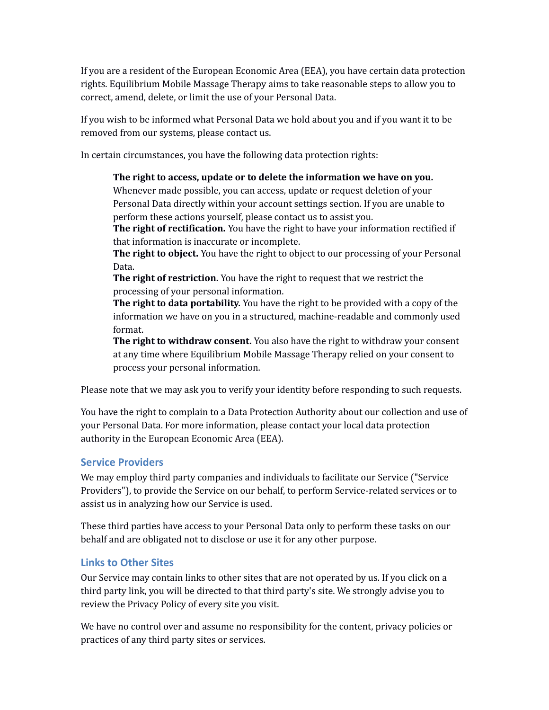If you are a resident of the European Economic Area (EEA), you have certain data protection rights. Equilibrium Mobile Massage Therapy aims to take reasonable steps to allow you to correct, amend, delete, or limit the use of your Personal Data.

If you wish to be informed what Personal Data we hold about you and if you want it to be removed from our systems, please contact us.

In certain circumstances, you have the following data protection rights:

## **The right to access, update or to delete the information we have on you.**

Whenever made possible, you can access, update or request deletion of your Personal Data directly within your account settings section. If you are unable to perform these actions yourself, please contact us to assist you.

**The right of rectification.** You have the right to have your information rectified if that information is inaccurate or incomplete.

**The right to object.** You have the right to object to our processing of your Personal Data.

**The right of restriction.** You have the right to request that we restrict the processing of your personal information.

**The right to data portability.** You have the right to be provided with a copy of the information we have on you in a structured, machine-readable and commonly used format.

**The right to withdraw consent.** You also have the right to withdraw your consent at any time where Equilibrium Mobile Massage Therapy relied on your consent to process your personal information.

Please note that we may ask you to verify your identity before responding to such requests.

You have the right to complain to a Data Protection Authority about our collection and use of your Personal Data. For more information, please contact your local data protection authority in the European Economic Area (EEA).

## **Service Providers**

We may employ third party companies and individuals to facilitate our Service ("Service Providers"), to provide the Service on our behalf, to perform Service-related services or to assist us in analyzing how our Service is used.

These third parties have access to your Personal Data only to perform these tasks on our behalf and are obligated not to disclose or use it for any other purpose.

# **Links to Other Sites**

Our Service may contain links to other sites that are not operated by us. If you click on a third party link, you will be directed to that third party's site. We strongly advise you to review the Privacy Policy of every site you visit.

We have no control over and assume no responsibility for the content, privacy policies or practices of any third party sites or services.